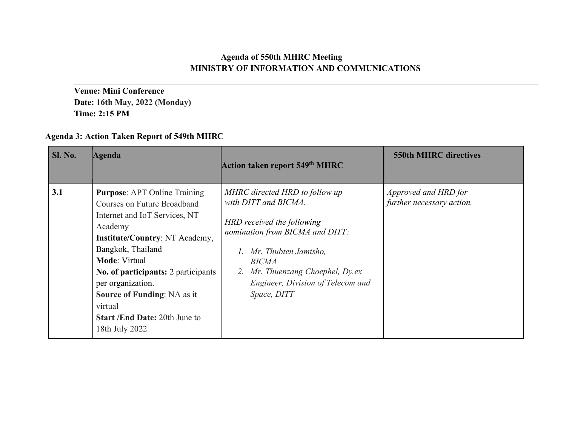## **Agenda of 550th MHRC Meeting MINISTRY OF INFORMATION AND COMMUNICATIONS**

**Venue: Mini Conference Date: 16th May, 2022 (Monday) Time: 2:15 PM**

## **Agenda 3: Action Taken Report of 549th MHRC**

| <b>Sl. No.</b> | Agenda                                                                                                                                                                                                                                                                                                                                                                      | Action taken report 549th MHRC                                                                                                                                                                                                                          | <b>550th MHRC directives</b>                      |
|----------------|-----------------------------------------------------------------------------------------------------------------------------------------------------------------------------------------------------------------------------------------------------------------------------------------------------------------------------------------------------------------------------|---------------------------------------------------------------------------------------------------------------------------------------------------------------------------------------------------------------------------------------------------------|---------------------------------------------------|
| 3.1            | <b>Purpose:</b> APT Online Training<br>Courses on Future Broadband<br>Internet and IoT Services, NT<br>Academy<br><b>Institute/Country: NT Academy,</b><br>Bangkok, Thailand<br><b>Mode: Virtual</b><br>No. of participants: 2 participants<br>per organization.<br><b>Source of Funding: NA as it</b><br>virtual<br><b>Start /End Date: 20th June to</b><br>18th July 2022 | MHRC directed HRD to follow up<br>with DITT and BICMA.<br>HRD received the following<br>nomination from BICMA and DITT:<br>Mr. Thubten Jamtsho,<br><b>BICMA</b><br>2. Mr. Thuenzang Choephel, Dy.ex<br>Engineer, Division of Telecom and<br>Space, DITT | Approved and HRD for<br>further necessary action. |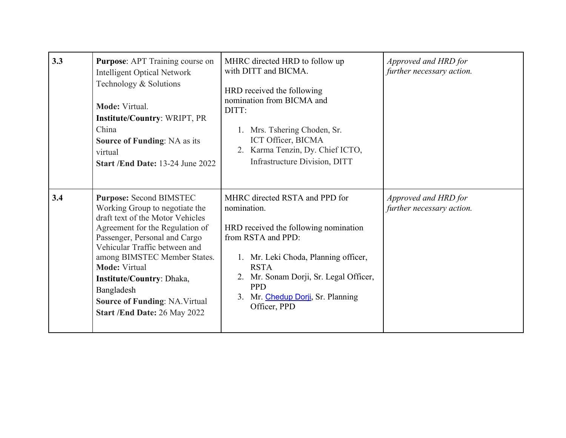| 3.3 | <b>Purpose:</b> APT Training course on<br><b>Intelligent Optical Network</b><br>Technology & Solutions<br>Mode: Virtual.<br><b>Institute/Country: WRIPT, PR</b><br>China<br><b>Source of Funding: NA as its</b><br>virtual<br>Start /End Date: 13-24 June 2022                                                                                                                               | MHRC directed HRD to follow up<br>with DITT and BICMA.<br>HRD received the following<br>nomination from BICMA and<br>DITT:<br>1. Mrs. Tshering Choden, Sr.<br>ICT Officer, BICMA<br>2. Karma Tenzin, Dy. Chief ICTO,<br>Infrastructure Division, DITT                               | Approved and HRD for<br>further necessary action. |
|-----|----------------------------------------------------------------------------------------------------------------------------------------------------------------------------------------------------------------------------------------------------------------------------------------------------------------------------------------------------------------------------------------------|-------------------------------------------------------------------------------------------------------------------------------------------------------------------------------------------------------------------------------------------------------------------------------------|---------------------------------------------------|
| 3.4 | <b>Purpose: Second BIMSTEC</b><br>Working Group to negotiate the<br>draft text of the Motor Vehicles<br>Agreement for the Regulation of<br>Passenger, Personal and Cargo<br>Vehicular Traffic between and<br>among BIMSTEC Member States.<br><b>Mode: Virtual</b><br><b>Institute/Country: Dhaka,</b><br>Bangladesh<br><b>Source of Funding: NA. Virtual</b><br>Start /End Date: 26 May 2022 | MHRC directed RSTA and PPD for<br>nomination.<br>HRD received the following nomination<br>from RSTA and PPD:<br>1. Mr. Leki Choda, Planning officer,<br><b>RSTA</b><br>2. Mr. Sonam Dorji, Sr. Legal Officer,<br><b>PPD</b><br>Mr. Chedup Dorji, Sr. Planning<br>3.<br>Officer, PPD | Approved and HRD for<br>further necessary action. |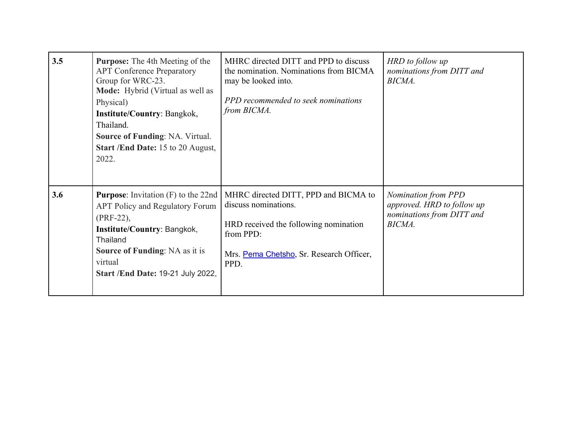| 3.5 | Purpose: The 4th Meeting of the<br><b>APT Conference Preparatory</b><br>Group for WRC-23.<br>Mode: Hybrid (Virtual as well as<br>Physical)<br><b>Institute/Country: Bangkok,</b><br>Thailand.<br><b>Source of Funding: NA. Virtual.</b><br>Start /End Date: 15 to 20 August,<br>2022. | MHRC directed DITT and PPD to discuss<br>the nomination. Nominations from BICMA<br>may be looked into.<br>PPD recommended to seek nominations<br>from BICMA.           | HRD to follow up<br>nominations from DITT and<br>BICMA.                                         |
|-----|---------------------------------------------------------------------------------------------------------------------------------------------------------------------------------------------------------------------------------------------------------------------------------------|------------------------------------------------------------------------------------------------------------------------------------------------------------------------|-------------------------------------------------------------------------------------------------|
| 3.6 | <b>Purpose:</b> Invitation $(F)$ to the 22nd<br><b>APT Policy and Regulatory Forum</b><br>(PRF-22),<br>Institute/Country: Bangkok,<br>Thailand<br><b>Source of Funding:</b> NA as it is<br>virtual<br>Start /End Date: 19-21 July 2022,                                               | MHRC directed DITT, PPD and BICMA to<br>discuss nominations.<br>HRD received the following nomination<br>from PPD:<br>Mrs. Pema Chetsho, Sr. Research Officer,<br>PPD. | <b>Nomination from PPD</b><br>approved. HRD to follow up<br>nominations from DITT and<br>BICMA. |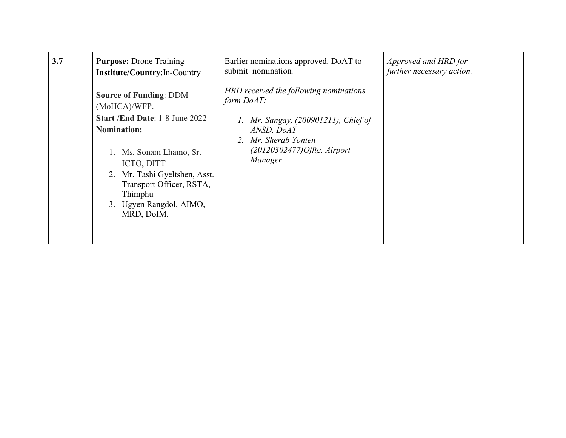| 3.7 | <b>Purpose:</b> Drone Training                                                                                                                                                                                                                                      | Earlier nominations approved. DoAT to                                                                                                                                              | Approved and HRD for      |
|-----|---------------------------------------------------------------------------------------------------------------------------------------------------------------------------------------------------------------------------------------------------------------------|------------------------------------------------------------------------------------------------------------------------------------------------------------------------------------|---------------------------|
|     | Institute/Country:In-Country                                                                                                                                                                                                                                        | submit nomination.                                                                                                                                                                 | further necessary action. |
|     | <b>Source of Funding: DDM</b><br>(MoHCA)/WFP.<br><b>Start /End Date: 1-8 June 2022</b><br><b>Nomination:</b><br>Ms. Sonam Lhamo, Sr.<br>ICTO, DITT<br>2. Mr. Tashi Gyeltshen, Asst.<br>Transport Officer, RSTA,<br>Thimphu<br>3. Ugyen Rangdol, AIMO,<br>MRD, DoIM. | HRD received the following nominations<br>form $DoAT$ :<br>Mr. Sangay, (200901211), Chief of<br>ANSD, DoAT<br>Mr. Sherab Yonten<br>2.<br>$(20120302477)$ Offtg. Airport<br>Manager |                           |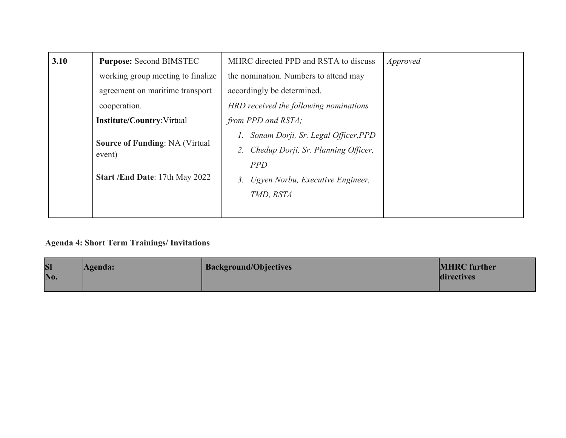| 3.10 | <b>Purpose: Second BIMSTEC</b>                  | MHRC directed PPD and RSTA to discuss  | <i>Approved</i> |
|------|-------------------------------------------------|----------------------------------------|-----------------|
|      | working group meeting to finalize               | the nomination. Numbers to attend may  |                 |
|      | agreement on maritime transport                 | accordingly be determined.             |                 |
|      | cooperation.                                    | HRD received the following nominations |                 |
|      | <b>Institute/Country: Virtual</b>               | from PPD and RSTA;                     |                 |
|      |                                                 | Sonam Dorji, Sr. Legal Officer, PPD    |                 |
|      | <b>Source of Funding: NA (Virtual</b><br>event) | Chedup Dorji, Sr. Planning Officer,    |                 |
|      |                                                 | <b>PPD</b>                             |                 |
|      | Start /End Date: 17th May 2022                  | Ugyen Norbu, Executive Engineer,       |                 |
|      |                                                 | TMD, RSTA                              |                 |
|      |                                                 |                                        |                 |

## **Agenda 4: Short Term Trainings/ Invitations**

| <b>SI</b> | Agenda: | <b>Background/Objectives</b> | <b>MHRC</b> further |
|-----------|---------|------------------------------|---------------------|
| No.       |         |                              | directives          |
|           |         |                              |                     |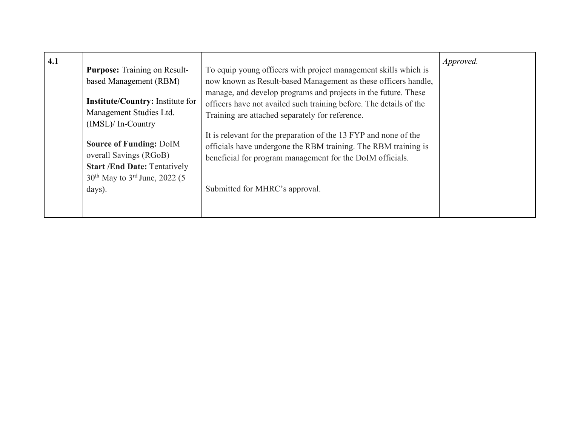| 4.1 | <b>Purpose:</b> Training on Result-<br>based Management (RBM)<br><b>Institute/Country:</b> Institute for<br>Management Studies Ltd.<br>$(IMSL)/In-Country$<br><b>Source of Funding: DoIM</b><br>overall Savings (RGoB)<br><b>Start /End Date: Tentatively</b><br>$30th$ May to $3rd$ June, 2022 (5) | To equip young officers with project management skills which is<br>now known as Result-based Management as these officers handle,<br>manage, and develop programs and projects in the future. These<br>officers have not availed such training before. The details of the<br>Training are attached separately for reference.<br>It is relevant for the preparation of the 13 FYP and none of the<br>officials have undergone the RBM training. The RBM training is<br>beneficial for program management for the DoIM officials. | Approved. |
|-----|-----------------------------------------------------------------------------------------------------------------------------------------------------------------------------------------------------------------------------------------------------------------------------------------------------|---------------------------------------------------------------------------------------------------------------------------------------------------------------------------------------------------------------------------------------------------------------------------------------------------------------------------------------------------------------------------------------------------------------------------------------------------------------------------------------------------------------------------------|-----------|
|     | days).                                                                                                                                                                                                                                                                                              | Submitted for MHRC's approval.                                                                                                                                                                                                                                                                                                                                                                                                                                                                                                  |           |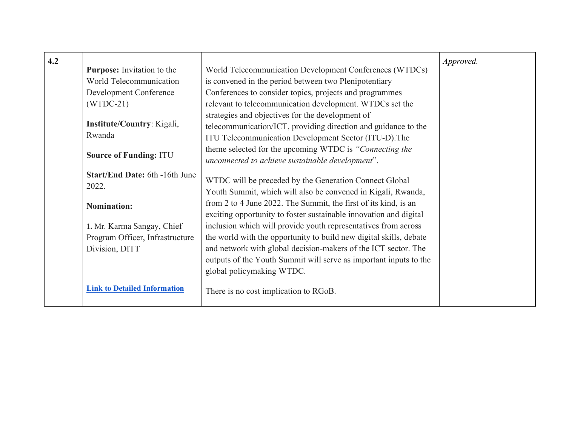| 4.2 |                                     |                                                                    | Approved. |
|-----|-------------------------------------|--------------------------------------------------------------------|-----------|
|     | <b>Purpose:</b> Invitation to the   | World Telecommunication Development Conferences (WTDCs)            |           |
|     | World Telecommunication             | is convened in the period between two Plenipotentiary              |           |
|     | Development Conference              | Conferences to consider topics, projects and programmes            |           |
|     | $(WTDC-21)$                         | relevant to telecommunication development. WTDCs set the           |           |
|     |                                     | strategies and objectives for the development of                   |           |
|     | Institute/Country: Kigali,          | telecommunication/ICT, providing direction and guidance to the     |           |
|     | Rwanda                              | ITU Telecommunication Development Sector (ITU-D). The              |           |
|     |                                     | theme selected for the upcoming WTDC is "Connecting the            |           |
|     | <b>Source of Funding: ITU</b>       | unconnected to achieve sustainable development".                   |           |
|     |                                     |                                                                    |           |
|     | Start/End Date: 6th -16th June      | WTDC will be preceded by the Generation Connect Global             |           |
|     | 2022.                               | Youth Summit, which will also be convened in Kigali, Rwanda,       |           |
|     | <b>Nomination:</b>                  | from 2 to 4 June 2022. The Summit, the first of its kind, is an    |           |
|     |                                     | exciting opportunity to foster sustainable innovation and digital  |           |
|     | 1. Mr. Karma Sangay, Chief          | inclusion which will provide youth representatives from across     |           |
|     | Program Officer, Infrastructure     | the world with the opportunity to build new digital skills, debate |           |
|     | Division, DITT                      | and network with global decision-makers of the ICT sector. The     |           |
|     |                                     | outputs of the Youth Summit will serve as important inputs to the  |           |
|     |                                     | global policymaking WTDC.                                          |           |
|     |                                     |                                                                    |           |
|     | <b>Link to Detailed Information</b> | There is no cost implication to RGoB.                              |           |
|     |                                     |                                                                    |           |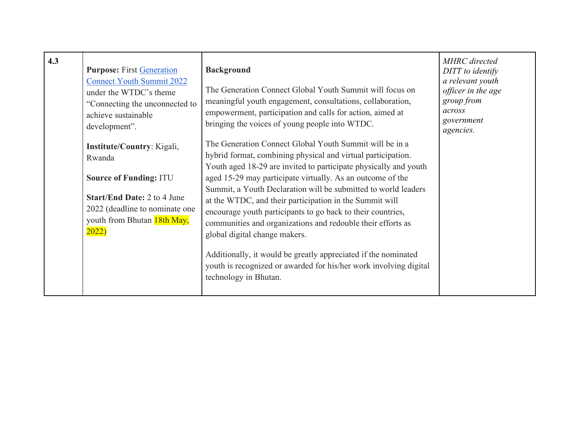| 4.3 | <b>Purpose: First Generation</b><br><b>Connect Youth Summit 2022</b><br>under the WTDC's theme<br>"Connecting the unconnected to<br>achieve sustainable<br>development".              | <b>Background</b><br>The Generation Connect Global Youth Summit will focus on<br>meaningful youth engagement, consultations, collaboration,<br>empowerment, participation and calls for action, aimed at<br>bringing the voices of young people into WTDC.                                                                                                                                                                                                                                                                                            | <b>MHRC</b> directed<br>DITT to identify<br>a relevant youth<br>officer in the age<br>group from<br>across<br>government<br>agencies. |
|-----|---------------------------------------------------------------------------------------------------------------------------------------------------------------------------------------|-------------------------------------------------------------------------------------------------------------------------------------------------------------------------------------------------------------------------------------------------------------------------------------------------------------------------------------------------------------------------------------------------------------------------------------------------------------------------------------------------------------------------------------------------------|---------------------------------------------------------------------------------------------------------------------------------------|
|     | Institute/Country: Kigali,<br>Rwanda<br><b>Source of Funding: ITU</b><br><b>Start/End Date: 2 to 4 June</b><br>2022 (deadline to nominate one<br>youth from Bhutan 18th May,<br>2022) | The Generation Connect Global Youth Summit will be in a<br>hybrid format, combining physical and virtual participation.<br>Youth aged 18-29 are invited to participate physically and youth<br>aged 15-29 may participate virtually. As an outcome of the<br>Summit, a Youth Declaration will be submitted to world leaders<br>at the WTDC, and their participation in the Summit will<br>encourage youth participants to go back to their countries,<br>communities and organizations and redouble their efforts as<br>global digital change makers. |                                                                                                                                       |
|     |                                                                                                                                                                                       | Additionally, it would be greatly appreciated if the nominated<br>youth is recognized or awarded for his/her work involving digital<br>technology in Bhutan.                                                                                                                                                                                                                                                                                                                                                                                          |                                                                                                                                       |